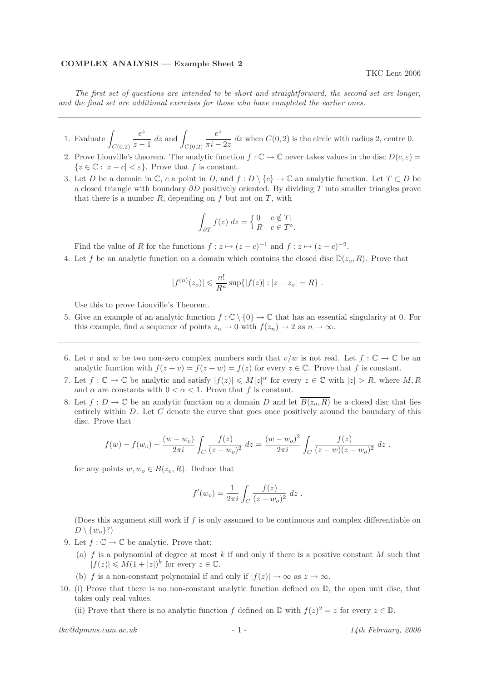## COMPLEX ANALYSIS — Example Sheet 2

The first set of questions are intended to be short and straightforward, the second set are longer, and the final set are additional exercises for those who have completed the earlier ones.

- 1. Evaluate  $\int$  $C(0,2)$ e z  $\frac{e^z}{z-1}$  dz and  $\int$  $C(0,2)$ e z  $\frac{\sigma}{\pi i - 2z}$  dz when  $C(0, 2)$  is the circle with radius 2, centre 0.
- 2. Prove Liouville's theorem. The analytic function  $f : \mathbb{C} \to \mathbb{C}$  never takes values in the disc  $D(c, \varepsilon)$  ${z \in \mathbb{C} : |z - c| < \varepsilon}$ . Prove that f is constant.
- 3. Let D be a domain in  $\mathbb{C}$ , c a point in D, and  $f: D \setminus \{c\} \to \mathbb{C}$  an analytic function. Let  $T \subset D$  be a closed triangle with boundary  $\partial D$  positively oriented. By dividing T into smaller triangles prove that there is a number  $R$ , depending on  $f$  but not on  $T$ , with

$$
\int_{\partial T} f(z) dz = \begin{cases} 0 & c \notin T; \\ R & c \in T^{\circ}. \end{cases}
$$

Find the value of R for the functions  $f: z \mapsto (z-c)^{-1}$  and  $f: z \mapsto (z-c)^{-2}$ .

4. Let f be an analytic function on a domain which contains the closed disc  $\overline{D}(z_o, R)$ . Prove that

$$
|f^{(n)}(z_o)| \leq \frac{n!}{R^n} \sup\{|f(z)| : |z - z_o| = R\}.
$$

Use this to prove Liouville's Theorem.

- 5. Give an example of an analytic function  $f : \mathbb{C} \setminus \{0\} \to \mathbb{C}$  that has an essential singularity at 0. For this example, find a sequence of points  $z_n \to 0$  with  $f(z_n) \to 2$  as  $n \to \infty$ .
- 6. Let v and w be two non-zero complex numbers such that  $v/w$  is not real. Let  $f : \mathbb{C} \to \mathbb{C}$  be an analytic function with  $f(z + v) = f(z + w) = f(z)$  for every  $z \in \mathbb{C}$ . Prove that f is constant.
- 7. Let  $f: \mathbb{C} \to \mathbb{C}$  be analytic and satisfy  $|f(z)| \leq M|z|^{\alpha}$  for every  $z \in \mathbb{C}$  with  $|z| > R$ , where M, R and  $\alpha$  are constants with  $0 < \alpha < 1$ . Prove that f is constant.
- 8. Let  $f: D \to \mathbb{C}$  be an analytic function on a domain D and let  $\overline{B(z_o, R)}$  be a closed disc that lies entirely within  $D$ . Let  $C$  denote the curve that goes once positively around the boundary of this disc. Prove that

$$
f(w) - f(w_o) - \frac{(w - w_o)}{2\pi i} \int_C \frac{f(z)}{(z - w_o)^2} dz = \frac{(w - w_o)^2}{2\pi i} \int_C \frac{f(z)}{(z - w)(z - w_o)^2} dz.
$$

for any points  $w, w_o \in B(z_o, R)$ . Deduce that

$$
f'(w_o) = \frac{1}{2\pi i} \int_C \frac{f(z)}{(z - w_o)^2} dz.
$$

(Does this argument still work if f is only assumed to be continuous and complex differentiable on  $D \setminus \{w_o\}$ ?)

- 9. Let  $f: \mathbb{C} \to \mathbb{C}$  be analytic. Prove that:
	- (a) f is a polynomial of degree at most k if and only if there is a positive constant M such that  $|f(z)| \leq M(1+|z|)^k$  for every  $z \in \mathbb{C}$ .
	- (b) f is a non-constant polynomial if and only if  $|f(z)| \to \infty$  as  $z \to \infty$ .
- 10. (i) Prove that there is no non-constant analytic function defined on D, the open unit disc, that takes only real values.

(ii) Prove that there is no analytic function f defined on  $\mathbb D$  with  $f(z)^2 = z$  for every  $z \in \mathbb D$ .

 $tkc@dpmms.cam.ac.uk$  - 1 -  $1/4th$  February, 2006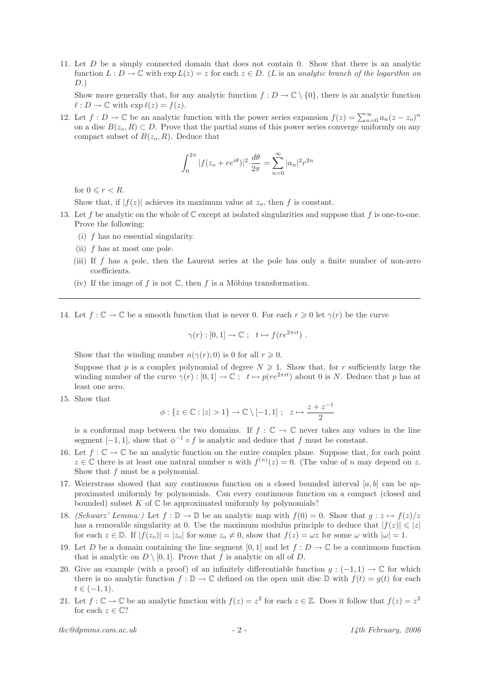11. Let D be a simply connected domain that does not contain 0. Show that there is an analytic function  $L : D \to \mathbb{C}$  with  $\exp L(z) = z$  for each  $z \in D$ . (L is an analytic branch of the logarithm on  $D.)$ 

Show more generally that, for any analytic function  $f: D \to \mathbb{C} \setminus \{0\}$ , there is an analytic function  $\ell : D \to \mathbb{C}$  with  $\exp \ell(z) = f(z)$ .

12. Let  $f: D \to \mathbb{C}$  be an analytic function with the power series expansion  $f(z) = \sum_{n=0}^{\infty} a_n(z - z_o)^n$ on a disc  $B(z_o, R) \subset D$ . Prove that the partial sums of this power series converge uniformly on any compact subset of  $B(z_o, R)$ . Deduce that

$$
\int_0^{2\pi} |f(z_o + re^{i\theta})|^2 \frac{d\theta}{2\pi} = \sum_{n=0}^{\infty} |a_n|^2 r^{2n}
$$

for  $0 \leq r < R$ .

Show that, if  $|f(z)|$  achieves its maximum value at  $z_o$ , then f is constant.

- 13. Let f be analytic on the whole of  $\mathbb C$  except at isolated singularities and suppose that f is one-to-one. Prove the following:
	- (i) f has no essential singularity.
	- (ii)  $f$  has at most one pole.
	- (iii) If  $f$  has a pole, then the Laurent series at the pole has only a finite number of non-zero coefficients.
	- (iv) If the image of f is not  $\mathbb C$ , then f is a Möbius transformation.

14. Let  $f: \mathbb{C} \to \mathbb{C}$  be a smooth function that is never 0. For each  $r \geq 0$  let  $\gamma(r)$  be the curve

$$
\gamma(r): [0,1] \to \mathbb{C} \; ; \; t \mapsto f(re^{2\pi i t}) \; .
$$

Show that the winding number  $n(\gamma(r); 0)$  is 0 for all  $r \geq 0$ .

Suppose that p is a complex polynomial of degree  $N \geqslant 1$ . Show that, for r sufficiently large the winding number of the curve  $\gamma(r): [0,1] \to \mathbb{C}$ ;  $t \mapsto p(re^{2\pi it})$  about 0 is N. Deduce that p has at least one zero.

15. Show that

$$
\phi: \{z \in \mathbb{C}: |z| > 1\} \to \mathbb{C} \setminus [-1, 1]; \quad z \mapsto \frac{z + z^{-1}}{2}
$$

is a conformal map between the two domains. If  $f : \mathbb{C} \to \mathbb{C}$  never takes any values in the line segment  $[-1, 1]$ , show that  $\phi^{-1} \circ f$  is analytic and deduce that f must be constant.

- 16. Let  $f: \mathbb{C} \to \mathbb{C}$  be an analytic function on the entire complex plane. Suppose that, for each point  $z \in \mathbb{C}$  there is at least one natural number n with  $f^{(n)}(z) = 0$ . (The value of n may depend on z. Show that  $f$  must be a polynomial.
- 17. Weierstrass showed that any continuous function on a closed bounded interval  $[a, b]$  can be approximated uniformly by polynomials. Can every continuous function on a compact (closed and bounded) subset  $K$  of  $\mathbb C$  be approximated uniformly by polynomials?
- 18. (Schwarz' Lemma:) Let  $f : \mathbb{D} \to \mathbb{D}$  be an analytic map with  $f(0) = 0$ . Show that  $g : z \mapsto f(z)/z$ has a removable singularity at 0. Use the maximum modulus principle to deduce that  $|f(z)| \leq |z|$ for each  $z \in \mathbb{D}$ . If  $|f(z_0)| = |z_0|$  for some  $z_0 \neq 0$ , show that  $f(z) = \omega z$  for some  $\omega$  with  $|\omega| = 1$ .
- 19. Let D be a domain containing the line segment [0, 1] and let  $f: D \to \mathbb{C}$  be a continuous function that is analytic on  $D \setminus [0,1]$ . Prove that f is analytic on all of D.
- 20. Give an example (with a proof) of an infinitely differentiable function  $g: (-1,1) \to \mathbb{C}$  for which there is no analytic function  $f : \mathbb{D} \to \mathbb{C}$  defined on the open unit disc  $\mathbb{D}$  with  $f(t) = g(t)$  for each  $t \in (-1, 1).$
- 21. Let  $f: \mathbb{C} \to \mathbb{C}$  be an analytic function with  $f(z) = z^2$  for each  $z \in \mathbb{Z}$ . Does it follow that  $f(z) = z^2$ for each  $z \in \mathbb{C}$ ?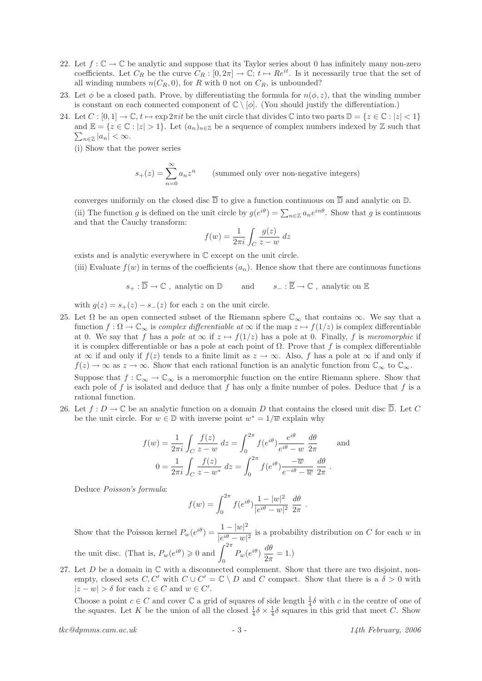- 22. Let  $f: \mathbb{C} \to \mathbb{C}$  be analytic and suppose that its Taylor series about 0 has infinitely many non-zero coefficients. Let  $C_R$  be the curve  $C_R : [0, 2\pi] \to \mathbb{C}; t \mapsto Re^{it}$ . Is it necessarily true that the set of all winding numbers  $n(C_R, 0)$ , for R with 0 not on  $C_R$ , is unbounded?
- 23. Let  $\phi$  be a closed path. Prove, by differentiating the formula for  $n(\phi, z)$ , that the winding number is constant on each connected component of  $\mathbb{C} \setminus [\phi]$ . (You should justify the differentiation.)
- 24. Let  $C : [0,1] \to \mathbb{C}$ ,  $t \mapsto \exp 2\pi i t$  be the unit circle that divides  $\mathbb{C}$  into two parts  $\mathbb{D} = \{z \in \mathbb{C} : |z| < 1\}$  $\sum_{n\in\mathbb{Z}}|a_n|<\infty.$ and  $\mathbb{E} = \{z \in \mathbb{C} : |z| > 1\}$ . Let  $(a_n)_{n \in \mathbb{Z}}$  be a sequence of complex numbers indexed by  $\mathbb{Z}$  such that
	- (i) Show that the power series

$$
s_{+}(z) = \sum_{n=0}^{\infty} a_n z^n
$$
 (summed only over non-negative integers)

converges uniformly on the closed disc  $\overline{\mathbb{D}}$  to give a function continuous on  $\overline{\mathbb{D}}$  and analytic on  $\mathbb{D}$ . (ii) The function g is defined on the unit circle by  $g(e^{i\theta}) = \sum_{n \in \mathbb{Z}} a_n e^{in\theta}$ . Show that g is continuous and that the Cauchy transform:

$$
f(w) = \frac{1}{2\pi i} \int_C \frac{g(z)}{z - w} dz
$$

exists and is analytic everywhere in C except on the unit circle.

(iii) Evaluate  $f(w)$  in terms of the coefficients  $(a_n)$ . Hence show that there are continuous functions

$$
s_+:\overline{\mathbb{D}}\to\mathbb{C}\ ,\ \text{analytic on}\ \mathbb{D}\qquad\text{ and }\qquad s_-:\overline{\mathbb{E}}\to\mathbb{C}\ ,\ \text{analytic on}\ \mathbb{E}
$$

with  $g(z) = s_+(z) - s_-(z)$  for each z on the unit circle.

- 25. Let  $\Omega$  be an open connected subset of the Riemann sphere  $\mathbb{C}_{\infty}$  that contains  $\infty$ . We say that a function  $f : \Omega \to \mathbb{C}_{\infty}$  is complex differentiable at  $\infty$  if the map  $z \mapsto f(1/z)$  is complex differentiable at 0. We say that f has a pole at  $\infty$  if  $z \mapsto f(1/z)$  has a pole at 0. Finally, f is meromorphic if it is complex differentiable or has a pole at each point of  $\Omega$ . Prove that f is complex differentiable at  $\infty$  if and only if  $f(z)$  tends to a finite limit as  $z \to \infty$ . Also, f has a pole at  $\infty$  if and only if  $f(z) \to \infty$  as  $z \to \infty$ . Show that each rational function is an analytic function from  $\mathbb{C}_{\infty}$  to  $\mathbb{C}_{\infty}$ . Suppose that  $f: \mathbb{C}_{\infty} \to \mathbb{C}_{\infty}$  is a meromorphic function on the entire Riemann sphere. Show that each pole of f is isolated and deduce that f has only a finite number of poles. Deduce that f is a rational function.
- 26. Let  $f: D \to \mathbb{C}$  be an analytic function on a domain D that contains the closed unit disc  $\overline{\mathbb{D}}$ . Let C be the unit circle. For  $w \in \mathbb{D}$  with inverse point  $w^* = 1/\overline{w}$  explain why

$$
f(w) = \frac{1}{2\pi i} \int_C \frac{f(z)}{z - w} dz = \int_0^{2\pi} f(e^{i\theta}) \frac{e^{i\theta}}{e^{i\theta} - w} \frac{d\theta}{2\pi}
$$
 and  

$$
0 = \frac{1}{2\pi i} \int_C \frac{f(z)}{z - w^*} dz = \int_0^{2\pi} f(e^{i\theta}) \frac{-\overline{w}}{e^{-i\theta} - \overline{w}} \frac{d\theta}{2\pi}.
$$

Deduce Poisson's formula:

$$
f(w) = \int_0^{2\pi} f(e^{i\theta}) \frac{1 - |w|^2}{|e^{i\theta} - w|^2} \frac{d\theta}{2\pi}.
$$

Show that the Poisson kernel  $P_w(e^{i\theta}) = \frac{1 - |w|^2}{\frac{1 - i\theta}{\theta}}$  $\frac{1}{|e^{i\theta}-w|^2}$  is a probability distribution on C for each w in the unit disc. (That is,  $P_w(e^{i\theta}) \geq 0$  and  $\int^{2\pi}$  $\int_0^{2\pi} P_w(e^{i\theta}) \frac{d\theta}{2\pi}$  $\frac{dv}{2\pi} = 1.$ 

27. Let  $D$  be a domain in  $\mathbb C$  with a disconnected complement. Show that there are two disjoint, nonempty, closed sets C, C' with  $C \cup C' = \mathbb{C} \setminus D$  and C compact. Show that there is a  $\delta > 0$  with  $|z - w| > \delta$  for each  $z \in C$  and  $w \in C'$ .

Choose a point  $c \in C$  and cover  $\mathbb C$  a grid of squares of side length  $\frac{1}{4}\delta$  with c in the centre of one of the squares. Let K be the union of all the closed  $\frac{1}{4}\delta \times \frac{1}{4}\delta$  squares in this grid that meet C. Show

 $tkc$ @dpmms.cam.ac.uk - 3 - 14th February, 2006